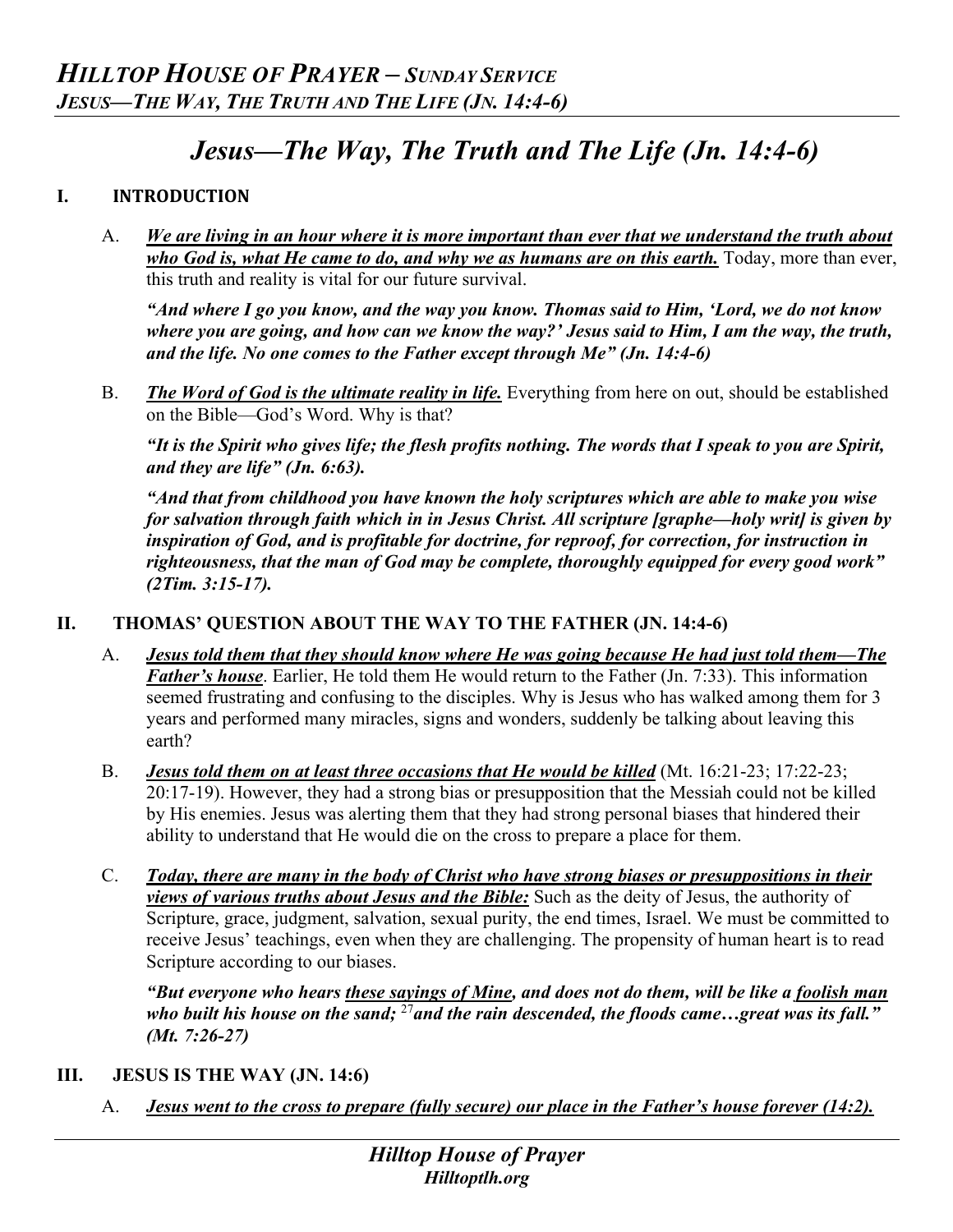# *Jesus—The Way, The Truth and The Life (Jn. 14:4-6)*

### **I. INTRODUCTION**

A. *We are living in an hour where it is more important than ever that we understand the truth about who God is, what He came to do, and why we as humans are on this earth.* Today, more than ever, this truth and reality is vital for our future survival.

*"And where I go you know, and the way you know. Thomas said to Him, 'Lord, we do not know where you are going, and how can we know the way?' Jesus said to Him, I am the way, the truth, and the life. No one comes to the Father except through Me" (Jn. 14:4-6)*

B. *The Word of God is the ultimate reality in life.* Everything from here on out, should be established on the Bible—God's Word. Why is that?

*"It is the Spirit who gives life; the flesh profits nothing. The words that I speak to you are Spirit, and they are life" (Jn. 6:63).*

*"And that from childhood you have known the holy scriptures which are able to make you wise for salvation through faith which in in Jesus Christ. All scripture [graphe—holy writ] is given by inspiration of God, and is profitable for doctrine, for reproof, for correction, for instruction in righteousness, that the man of God may be complete, thoroughly equipped for every good work" (2Tim. 3:15-17).*

## **II. THOMAS' QUESTION ABOUT THE WAY TO THE FATHER (JN. 14:4-6)**

- A. *Jesus told them that they should know where He was going because He had just told them—The Father's house*. Earlier, He told them He would return to the Father (Jn. 7:33). This information seemed frustrating and confusing to the disciples. Why is Jesus who has walked among them for 3 years and performed many miracles, signs and wonders, suddenly be talking about leaving this earth?
- B. *Jesus told them on at least three occasions that He would be killed* (Mt. 16:21-23; 17:22-23; 20:17-19). However, they had a strong bias or presupposition that the Messiah could not be killed by His enemies. Jesus was alerting them that they had strong personal biases that hindered their ability to understand that He would die on the cross to prepare a place for them.
- C. *Today, there are many in the body of Christ who have strong biases or presuppositions in their views of various truths about Jesus and the Bible:* Such as the deity of Jesus, the authority of Scripture, grace, judgment, salvation, sexual purity, the end times, Israel. We must be committed to receive Jesus' teachings, even when they are challenging. The propensity of human heart is to read Scripture according to our biases.

*"But everyone who hears these sayings of Mine, and does not do them, will be like a foolish man who built his house on the sand;* <sup>27</sup>*and the rain descended, the floods came…great was its fall." (Mt. 7:26-27)* 

#### **III. JESUS IS THE WAY (JN. 14:6)**

A. *Jesus went to the cross to prepare (fully secure) our place in the Father's house forever (14:2).*